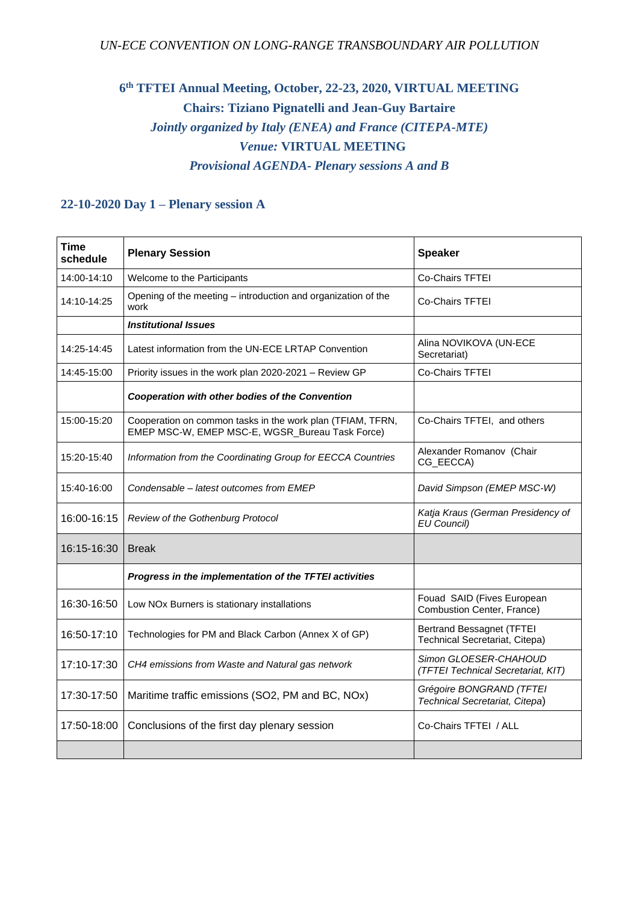## **6 th TFTEI Annual Meeting, October, 22-23, 2020, VIRTUAL MEETING Chairs: Tiziano Pignatelli and Jean-Guy Bartaire** *Jointly organized by Italy (ENEA) and France (CITEPA-MTE) Venue:* **VIRTUAL MEETING** *Provisional AGENDA- Plenary sessions A and B*

## **22-10-2020 Day 1 – Plenary session A**

| <b>Time</b><br>schedule | <b>Plenary Session</b>                                                                                        | <b>Speaker</b>                                                     |
|-------------------------|---------------------------------------------------------------------------------------------------------------|--------------------------------------------------------------------|
| 14:00-14:10             | Welcome to the Participants                                                                                   | <b>Co-Chairs TFTEI</b>                                             |
| 14:10-14:25             | Opening of the meeting - introduction and organization of the<br>work                                         | <b>Co-Chairs TFTEI</b>                                             |
|                         | <b>Institutional Issues</b>                                                                                   |                                                                    |
| 14:25-14:45             | Latest information from the UN-ECE LRTAP Convention                                                           | Alina NOVIKOVA (UN-ECE<br>Secretariat)                             |
| 14:45-15:00             | Priority issues in the work plan 2020-2021 - Review GP                                                        | <b>Co-Chairs TFTEI</b>                                             |
|                         | Cooperation with other bodies of the Convention                                                               |                                                                    |
| 15:00-15:20             | Cooperation on common tasks in the work plan (TFIAM, TFRN,<br>EMEP MSC-W, EMEP MSC-E, WGSR_Bureau Task Force) | Co-Chairs TFTEI, and others                                        |
| 15:20-15:40             | Information from the Coordinating Group for EECCA Countries                                                   | Alexander Romanov (Chair<br>CG_EECCA)                              |
| 15:40-16:00             | Condensable - latest outcomes from EMEP                                                                       | David Simpson (EMEP MSC-W)                                         |
| 16:00-16:15             | Review of the Gothenburg Protocol                                                                             | Katja Kraus (German Presidency of<br><b>EU Council)</b>            |
| 16:15-16:30             | <b>Break</b>                                                                                                  |                                                                    |
|                         | Progress in the implementation of the TFTEI activities                                                        |                                                                    |
| 16:30-16:50             | Low NOx Burners is stationary installations                                                                   | Fouad SAID (Fives European<br>Combustion Center, France)           |
| 16:50-17:10             | Technologies for PM and Black Carbon (Annex X of GP)                                                          | <b>Bertrand Bessagnet (TFTEI</b><br>Technical Secretariat, Citepa) |
| 17:10-17:30             | CH4 emissions from Waste and Natural gas network                                                              | Simon GLOESER-CHAHOUD<br>(TFTEI Technical Secretariat, KIT)        |
| 17:30-17:50             | Maritime traffic emissions (SO2, PM and BC, NOx)                                                              | Grégoire BONGRAND (TFTEI<br>Technical Secretariat, Citepa)         |
| 17:50-18:00             | Conclusions of the first day plenary session                                                                  | Co-Chairs TFTEI / ALL                                              |
|                         |                                                                                                               |                                                                    |